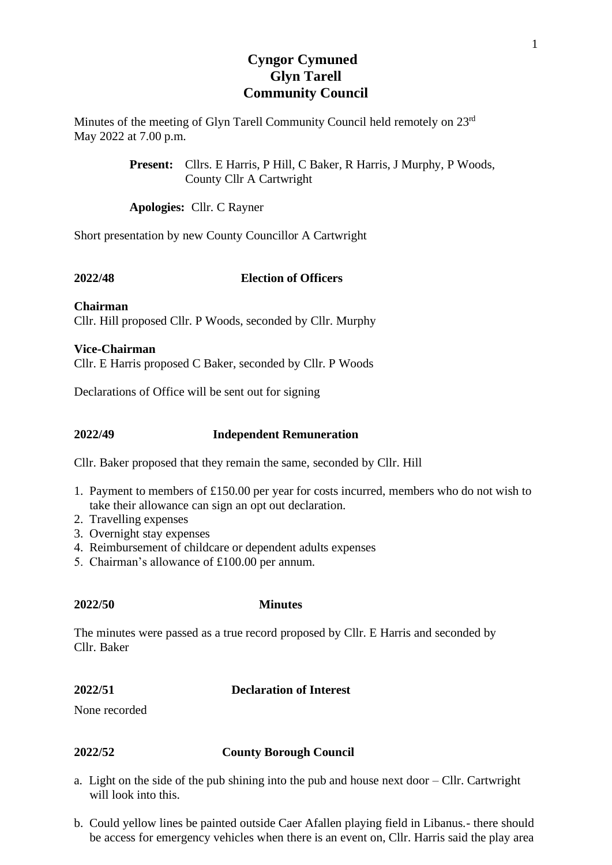# **Cyngor Cymuned Glyn Tarell Community Council**

Minutes of the meeting of Glyn Tarell Community Council held remotely on 23rd May 2022 at 7.00 p.m.

> **Present:** Cllrs. E Harris, P Hill, C Baker, R Harris, J Murphy, P Woods, County Cllr A Cartwright

**Apologies:** Cllr. C Rayner

Short presentation by new County Councillor A Cartwright

## **2022/48 Election of Officers**

**Chairman** Cllr. Hill proposed Cllr. P Woods, seconded by Cllr. Murphy

**Vice-Chairman** Cllr. E Harris proposed C Baker, seconded by Cllr. P Woods

Declarations of Office will be sent out for signing

**2022/49 Independent Remuneration**

Cllr. Baker proposed that they remain the same, seconded by Cllr. Hill

- 1. Payment to members of £150.00 per year for costs incurred, members who do not wish to take their allowance can sign an opt out declaration.
- 2. Travelling expenses
- 3. Overnight stay expenses
- 4. Reimbursement of childcare or dependent adults expenses
- 5. Chairman's allowance of £100.00 per annum.

**2022/50 Minutes**

The minutes were passed as a true record proposed by Cllr. E Harris and seconded by Cllr. Baker

## **2022/51 Declaration of Interest**

None recorded

## **2022/52 County Borough Council**

- a. Light on the side of the pub shining into the pub and house next door Cllr. Cartwright will look into this.
- b. Could yellow lines be painted outside Caer Afallen playing field in Libanus.- there should be access for emergency vehicles when there is an event on, Cllr. Harris said the play area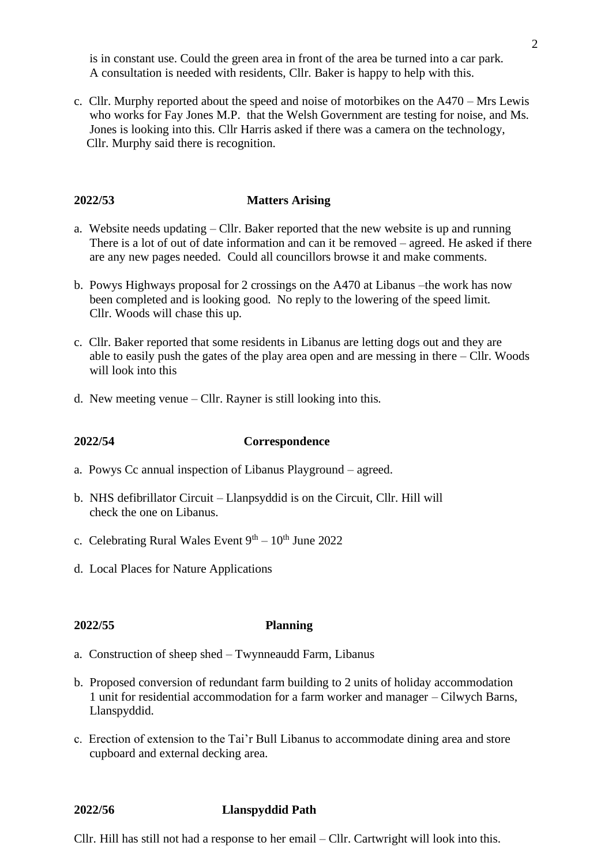is in constant use. Could the green area in front of the area be turned into a car park. A consultation is needed with residents, Cllr. Baker is happy to help with this.

c. Cllr. Murphy reported about the speed and noise of motorbikes on the A470 – Mrs Lewis who works for Fay Jones M.P. that the Welsh Government are testing for noise, and Ms. Jones is looking into this. Cllr Harris asked if there was a camera on the technology, Cllr. Murphy said there is recognition.

## **2022/53 Matters Arising**

- a. Website needs updating Cllr. Baker reported that the new website is up and running There is a lot of out of date information and can it be removed – agreed. He asked if there are any new pages needed. Could all councillors browse it and make comments.
- b. Powys Highways proposal for 2 crossings on the A470 at Libanus –the work has now been completed and is looking good. No reply to the lowering of the speed limit. Cllr. Woods will chase this up.
- c. Cllr. Baker reported that some residents in Libanus are letting dogs out and they are able to easily push the gates of the play area open and are messing in there – Cllr. Woods will look into this
- d. New meeting venue Cllr. Rayner is still looking into this.

### **2022/54 Correspondence**

- a. Powys Cc annual inspection of Libanus Playground agreed.
- b. NHS defibrillator Circuit Llanpsyddid is on the Circuit, Cllr. Hill will check the one on Libanus.
- c. Celebrating Rural Wales Event  $9<sup>th</sup> 10<sup>th</sup>$  June 2022
- d. Local Places for Nature Applications

### **2022/55 Planning**

- a. Construction of sheep shed Twynneaudd Farm, Libanus
- b. Proposed conversion of redundant farm building to 2 units of holiday accommodation 1 unit for residential accommodation for a farm worker and manager – Cilwych Barns, Llanspyddid.
- c. Erection of extension to the Tai'r Bull Libanus to accommodate dining area and store cupboard and external decking area.

### **2022/56 Llanspyddid Path**

Cllr. Hill has still not had a response to her email – Cllr. Cartwright will look into this.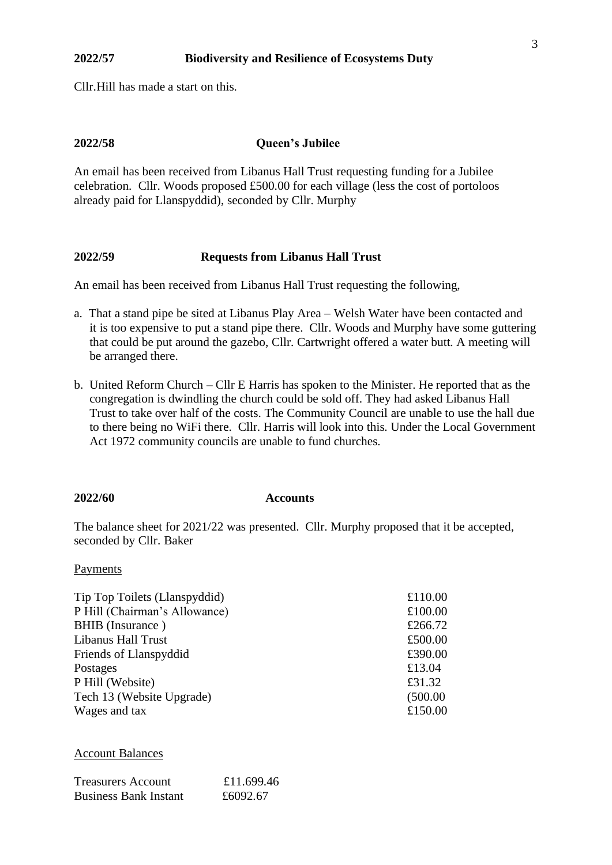### **2022/57 Biodiversity and Resilience of Ecosystems Duty**

Cllr.Hill has made a start on this.

## **2022/58 Queen's Jubilee**

An email has been received from Libanus Hall Trust requesting funding for a Jubilee celebration. Cllr. Woods proposed £500.00 for each village (less the cost of portoloos already paid for Llanspyddid), seconded by Cllr. Murphy

### **2022/59 Requests from Libanus Hall Trust**

An email has been received from Libanus Hall Trust requesting the following,

- a. That a stand pipe be sited at Libanus Play Area Welsh Water have been contacted and it is too expensive to put a stand pipe there. Cllr. Woods and Murphy have some guttering that could be put around the gazebo, Cllr. Cartwright offered a water butt. A meeting will be arranged there.
- b. United Reform Church Cllr E Harris has spoken to the Minister. He reported that as the congregation is dwindling the church could be sold off. They had asked Libanus Hall Trust to take over half of the costs. The Community Council are unable to use the hall due to there being no WiFi there. Cllr. Harris will look into this. Under the Local Government Act 1972 community councils are unable to fund churches.

#### **2022/60 Accounts**

The balance sheet for 2021/22 was presented. Cllr. Murphy proposed that it be accepted, seconded by Cllr. Baker

#### Payments

| Tip Top Toilets (Llanspyddid) | £110.00  |
|-------------------------------|----------|
| P Hill (Chairman's Allowance) | £100.00  |
| <b>BHIB</b> (Insurance)       | £266.72  |
| Libanus Hall Trust            | £500.00  |
| <b>Friends of Llanspyddid</b> | £390.00  |
| Postages                      | £13.04   |
| P Hill (Website)              | £31.32   |
| Tech 13 (Website Upgrade)     | (500.00) |
| Wages and tax                 | £150.00  |
|                               |          |

Account Balances

| Treasurers Account           | £11.699.46 |
|------------------------------|------------|
| <b>Business Bank Instant</b> | £6092.67   |